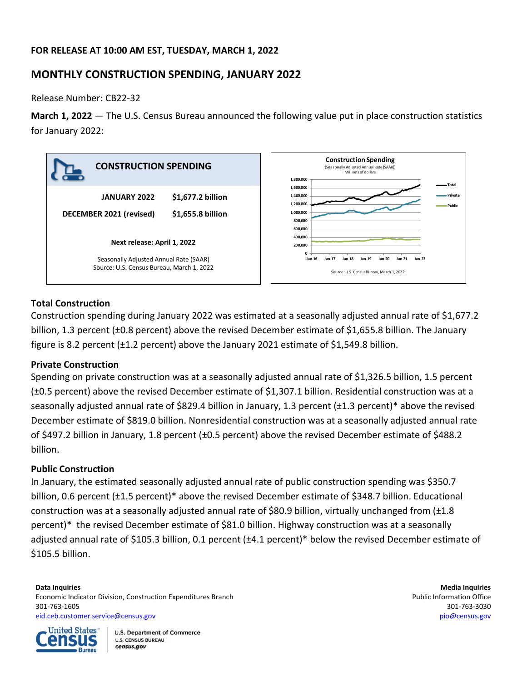# **FOR RELEASE AT 10:00 AM EST, TUESDAY, MARCH 1, 2022**

# **MONTHLY CONSTRUCTION SPENDING, JANUARY 2022**

Release Number: CB22-32

**March 1, 2022** — The U.S. Census Bureau announced the following value put in place construction statistics for January 2022:



# **Total Construction**

Construction spending during January 2022 was estimated at a seasonally adjusted annual rate of \$1,677.2 billion, 1.3 percent (±0.8 percent) above the revised December estimate of \$1,655.8 billion. The January figure is 8.2 percent (±1.2 percent) above the January 2021 estimate of \$1,549.8 billion.

# **Private Construction**

Spending on private construction was at a seasonally adjusted annual rate of \$1,326.5 billion, 1.5 percent (±0.5 percent) above the revised December estimate of \$1,307.1 billion. Residential construction was at a seasonally adjusted annual rate of \$829.4 billion in January, 1.3 percent (±1.3 percent)\* above the revised December estimate of \$819.0 billion. Nonresidential construction was at a seasonally adjusted annual rate of \$497.2 billion in January, 1.8 percent (±0.5 percent) above the revised December estimate of \$488.2 billion.

# **Public Construction**

In January, the estimated seasonally adjusted annual rate of public construction spending was \$350.7 billion, 0.6 percent (±1.5 percent)\* above the revised December estimate of \$348.7 billion. Educational construction was at a seasonally adjusted annual rate of \$80.9 billion, virtually unchanged from (±1.8 percent)\* the revised December estimate of \$81.0 billion. Highway construction was at a seasonally adjusted annual rate of \$105.3 billion, 0.1 percent (±4.1 percent)\* below the revised December estimate of \$105.5 billion.

### **Data Inquiries Media Inquiries** Economic Indicator Division, Construction Expenditures Branch **Public Information Office** Public Information Office 301-763-1605 301-763-3030 [eid.ceb.customer.service@census.gov](mailto:eid.ceb.customer.service@census.gov) [pio@census.gov](mailto:pio@census.gov)



**U.S. Department of Commerce U.S. CENSUS BUREAU** census.gov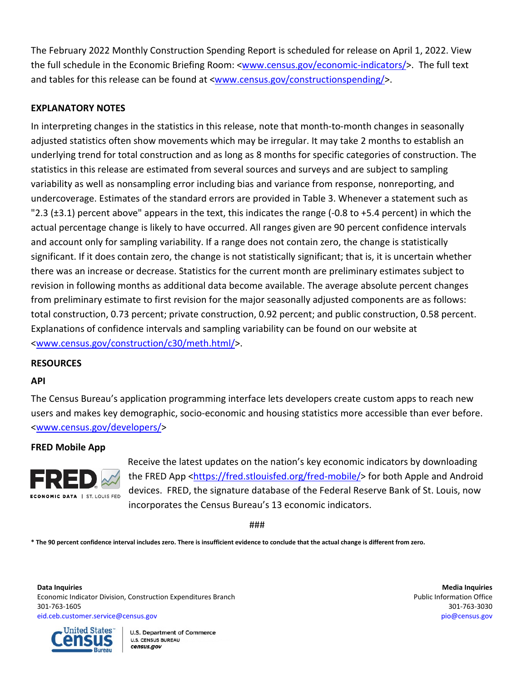The February 2022 Monthly Construction Spending Report is scheduled for release on April 1, 2022. View the full schedule in the Economic Briefing Room: [<www.census.gov/economic-indicators/>](http://www.census.gov/economic-indicators/). The full text and tables for this release can be found at [<www.census.gov/constructionspending/>](http://www.census.gov/constructionspending/).

# **EXPLANATORY NOTES**

In interpreting changes in the statistics in this release, note that month-to-month changes in seasonally adjusted statistics often show movements which may be irregular. It may take 2 months to establish an underlying trend for total construction and as long as 8 months for specific categories of construction. The statistics in this release are estimated from several sources and surveys and are subject to sampling variability as well as nonsampling error including bias and variance from response, nonreporting, and undercoverage. Estimates of the standard errors are provided in Table 3. Whenever a statement such as "2.3 (±3.1) percent above" appears in the text, this indicates the range (-0.8 to +5.4 percent) in which the actual percentage change is likely to have occurred. All ranges given are 90 percent confidence intervals and account only for sampling variability. If a range does not contain zero, the change is statistically significant. If it does contain zero, the change is not statistically significant; that is, it is uncertain whether there was an increase or decrease. Statistics for the current month are preliminary estimates subject to revision in following months as additional data become available. The average absolute percent changes from preliminary estimate to first revision for the major seasonally adjusted components are as follows: total construction, 0.73 percent; private construction, 0.92 percent; and public construction, 0.58 percent. Explanations of confidence intervals and sampling variability can be found on our website at [<www.census.gov/construction/c30/meth.html/](http://www.census.gov/construction/c30/meth.html)>.

### **RESOURCES**

### **API**

The Census Bureau's application programming interface lets developers create custom apps to reach new users and makes key demographic, socio-economic and housing statistics more accessible than ever before. [<www.census.gov/developers/>](https://www.census.gov/developers/)

### **FRED Mobile App**



Receive the latest updates on the nation's key economic indicators by downloading the FRED App [<https://fred.stlouisfed.org/fred-mobile/>](https://fred.stlouisfed.org/fred-mobile/index.php?utm_source=census&utm_medium=pdf&utm_campaign=mobile_app) for both Apple and Android devices. FRED, the signature database of the Federal Reserve Bank of St. Louis, now incorporates the Census Bureau's 13 economic indicators.

###

**\* The 90 percent confidence interval includes zero. There is insufficient evidence to conclude that the actual change is different from zero.**

**Data Inquiries Media Inquiries** Economic Indicator Division, Construction Expenditures Branch **Public Information Office** Public Information Office 301-763-1605 301-763-3030 [eid.ceb.customer.service@census.gov](mailto:eid.ceb.customer.service@census.gov) [pio@census.gov](mailto:pio@census.gov)



**U.S. Department of Commerce U.S. CENSUS BUREAU** census.gov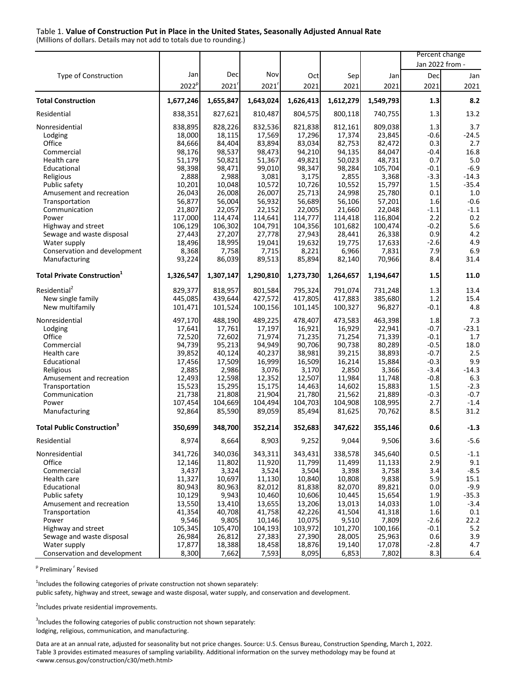#### Table 1. **Value of Construction Put in Place in the United States, Seasonally Adjusted Annual Rate**

(Millions of dollars. Details may not add to totals due to rounding.)

|                                                |                   |                  |                  |                  |                  |                  | Percent change  |                    |
|------------------------------------------------|-------------------|------------------|------------------|------------------|------------------|------------------|-----------------|--------------------|
|                                                |                   |                  |                  |                  |                  |                  | Jan 2022 from - |                    |
| Type of Construction                           | Jan               | Dec              | Nov              | Oct              | Sep              | Jan              | Dec             | Jan                |
|                                                | 2022 <sup>p</sup> | 2021'            | 2021'            | 2021             | 2021             | 2021             | 2021            | 2021               |
| <b>Total Construction</b>                      | 1,677,246         | 1,655,847        | 1,643,024        | 1,626,413        | 1,612,279        | 1,549,793        | 1.3             | 8.2                |
| Residential                                    | 838,351           | 827,621          | 810,487          | 804,575          | 800,118          | 740,755          | 1.3             | 13.2               |
| Nonresidential                                 | 838,895           | 828,226          | 832,536          | 821,838          | 812,161          | 809,038          | 1.3             | 3.7                |
| Lodging                                        | 18,000            | 18,115           | 17,569           | 17,296           | 17,374           | 23,845           | $-0.6$          | $-24.5$            |
| Office                                         | 84,666            | 84,404           | 83,894           | 83,034           | 82,753           | 82,472           | 0.3             | 2.7                |
| Commercial                                     | 98,176            | 98,537           | 98,473           | 94,210           | 94,135           | 84,047           | $-0.4$          | 16.8               |
| Health care                                    | 51,179            | 50,821           | 51,367           | 49,821           | 50,023           | 48,731           | 0.7             | 5.0                |
| Educational                                    | 98,398            | 98,471           | 99,010           | 98,347           | 98,284           | 105,704          | $-0.1$          | $-6.9$             |
| Religious                                      | 2,888             | 2,988            | 3,081            | 3,175            | 2,855            | 3,368            | $-3.3$          | $-14.3$            |
| Public safety<br>Amusement and recreation      | 10,201<br>26,043  | 10,048<br>26,008 | 10,572<br>26,007 | 10,726<br>25,713 | 10,552<br>24,998 | 15,797<br>25,780 | 1.5<br>0.1      | $-35.4$<br>$1.0\,$ |
| Transportation                                 | 56,877            | 56,004           | 56,932           | 56,689           | 56,106           | 57,201           | 1.6             | $-0.6$             |
| Communication                                  | 21,807            | 22,057           | 22,152           | 22,005           | 21,660           | 22,048           | $-1.1$          | $-1.1$             |
| Power                                          | 117,000           | 114,474          | 114,641          | 114,777          | 114,418          | 116,804          | 2.2             | 0.2                |
| Highway and street                             | 106,129           | 106,302          | 104,791          | 104,356          | 101,682          | 100,474          | $-0.2$          | 5.6                |
| Sewage and waste disposal                      | 27,443            | 27,207           | 27,778           | 27,943           | 28,441           | 26,338           | 0.9             | 4.2                |
| Water supply                                   | 18,496            | 18,995           | 19,041           | 19,632           | 19,775           | 17,633           | $-2.6$          | 4.9                |
| Conservation and development                   | 8,368             | 7,758            | 7,715            | 8,221            | 6,966            | 7,831            | 7.9             | 6.9                |
| Manufacturing                                  | 93,224            | 86,039           | 89,513           | 85,894           | 82,140           | 70,966           | 8.4             | 31.4               |
| <b>Total Private Construction</b> <sup>1</sup> | 1,326,547         | 1,307,147        | 1,290,810        | 1,273,730        | 1,264,657        | 1,194,647        | 1.5             | 11.0               |
| Residential <sup>2</sup>                       | 829,377           | 818,957          | 801,584          | 795,324          | 791,074          | 731,248          | 1.3             | 13.4               |
| New single family                              | 445,085           | 439,644          | 427,572          | 417,805          | 417,883          | 385,680          | 1.2             | 15.4               |
| New multifamily                                | 101,471           | 101,524          | 100,156          | 101,145          | 100,327          | 96,827           | $-0.1$          | 4.8                |
| Nonresidential                                 | 497,170           | 488,190          | 489,225          | 478,407          | 473,583          | 463,398          | 1.8             | 7.3                |
| Lodging                                        | 17,641            | 17,761           | 17,197           | 16,921           | 16,929           | 22,941           | $-0.7$          | $-23.1$            |
| Office                                         | 72,520            | 72,602           | 71,974           | 71,235           | 71,254           | 71,339           | $-0.1$          | 1.7                |
| Commercial                                     | 94,739            | 95,213           | 94,949           | 90,706           | 90,738           | 80,289           | $-0.5$          | 18.0               |
| Health care                                    | 39,852            | 40,124           | 40,237           | 38,981           | 39,215           | 38,893           | $-0.7$          | 2.5                |
| Educational                                    | 17,456            | 17,509           | 16,999           | 16,509           | 16,214           | 15,884           | $-0.3$          | 9.9                |
| Religious                                      | 2,885             | 2,986            | 3,076            | 3,170            | 2,850            | 3,366            | -3.4            | $-14.3$            |
| Amusement and recreation                       | 12,493<br>15,523  | 12,598<br>15,295 | 12,352<br>15,175 | 12,507<br>14,463 | 11,984<br>14,602 | 11,748<br>15,883 | $-0.8$<br>1.5   | 6.3<br>$-2.3$      |
| Transportation<br>Communication                | 21,738            | 21,808           | 21,904           | 21,780           | 21,562           | 21,889           | $-0.3$          | $-0.7$             |
| Power                                          | 107,454           | 104,669          | 104,494          | 104,703          | 104,908          | 108,995          | 2.7             | $-1.4$             |
| Manufacturing                                  | 92,864            | 85,590           | 89,059           | 85,494           | 81,625           | 70,762           | 8.5             | 31.2               |
| <b>Total Public Construction3</b>              | 350,699           | 348,700          | 352,214          | 352,683          | 347,622          | 355,146          | 0.6             | $-1.3$             |
| Residential                                    | 8,974             | 8,664            | 8,903            | 9,252            | 9,044            | 9,506            | 3.6             | $-5.6$             |
| Nonresidential                                 | 341,726           | 340,036          | 343,311          | 343,431          | 338,578          | 345,640          | 0.5             | $-1.1$             |
| Office                                         | 12,146            | 11,802           | 11,920           | 11,799           | 11,499           | 11,133           | 2.9             | 9.1                |
| Commercial                                     | 3,437             | 3,324            | 3,524            | 3,504            | 3,398            | 3,758            | 3.4             | $-8.5$             |
| Health care                                    | 11,327            | 10,697           | 11,130           | 10,840           | 10,808           | 9,838            | 5.9             | 15.1               |
| Educational                                    | 80,943            | 80,963           | 82,012           | 81,838           | 82,070           | 89,821           | 0.0             | $-9.9$             |
| Public safety                                  | 10,129            | 9,943            | 10,460           | 10,606           | 10,445           | 15,654           | 1.9             | $-35.3$            |
| Amusement and recreation                       | 13,550            | 13,410           | 13,655           | 13,206           | 13,013           | 14,033           | $1.0\,$         | $-3.4$             |
| Transportation<br>Power                        | 41,354<br>9,546   | 40,708<br>9,805  | 41,758<br>10,146 | 42,226<br>10,075 | 41,504<br>9,510  | 41,318<br>7,809  | 1.6<br>$-2.6$   | 0.1<br>22.2        |
| Highway and street                             | 105,345           | 105,470          | 104,193          | 103,972          | 101,270          | 100,166          | $-0.1$          | 5.2                |
| Sewage and waste disposal                      | 26,984            | 26,812           | 27,383           | 27,390           | 28,005           | 25,963           | 0.6             | 3.9                |
| Water supply                                   | 17,877            | 18,388           | 18,458           | 18,876           | 19,140           | 17,078           | $-2.8$          | 4.7                |
| Conservation and development                   | 8,300             | 7,662            | 7,593            | 8,095            | 6,853            | 7,802            | 8.3             | $6.4\,$            |

<sup>p</sup> Preliminary <sup>r</sup> Revised

 $1$ Includes the following categories of private construction not shown separately:

public safety, highway and street, sewage and waste disposal, water supply, and conservation and development.

<sup>2</sup>Includes private residential improvements.

 $3$ Includes the following categories of public construction not shown separately: lodging, religious, communication, and manufacturing.

Data are at an annual rate, adjusted for seasonality but not price changes. Source: U.S. Census Bureau, Construction Spending, March 1, 2022. Table 3 provides estimated measures of sampling variability. Additional information on the survey methodology may be found at [<www.census.gov/construction/c30/meth.html>](http://www.census.gov/construction/c30/meth.html)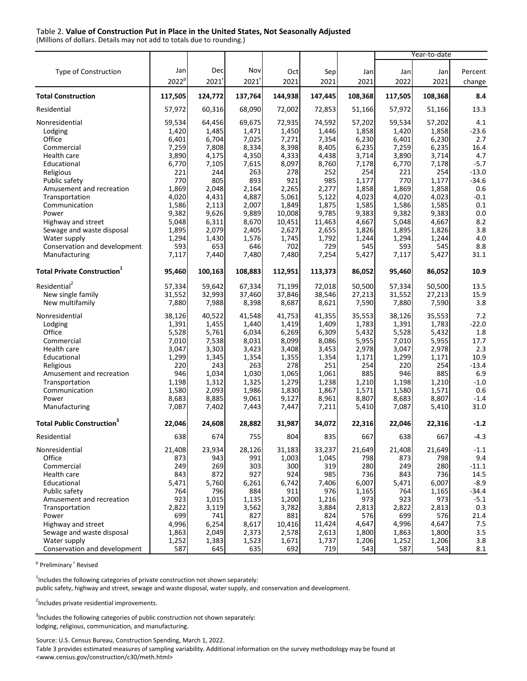#### Table 2. **Value of Construction Put in Place in the United States, Not Seasonally Adjusted**

(Millions of dollars. Details may not add to totals due to rounding.)

|                                                 |                   |                |                |                  |                 |                |                | Year-to-date   |                   |
|-------------------------------------------------|-------------------|----------------|----------------|------------------|-----------------|----------------|----------------|----------------|-------------------|
|                                                 |                   |                |                |                  |                 |                |                |                |                   |
| Type of Construction                            | Jan               | Dec            | Nov            | Oct              | Sep             | Jan            | Jan            | Jan            | Percent           |
|                                                 | 2022 <sup>p</sup> | 2021           | 2021'          | 2021             | 2021            | 2021           | 2022           | 2021           | change            |
| <b>Total Construction</b>                       | 117,505           | 124,772        | 137,764        | 144,938          | 147,445         | 108,368        | 117,505        | 108,368        | 8.4               |
| Residential                                     | 57,972            | 60,316         | 68,090         | 72,002           | 72,853          | 51,166         | 57,972         | 51,166         | 13.3              |
| Nonresidential                                  | 59,534            | 64,456         | 69,675         | 72,935           | 74,592          | 57,202         | 59,534         | 57,202         | 4.1               |
| Lodging                                         | 1,420             | 1,485          | 1,471          | 1,450            | 1,446           | 1,858          | 1,420          | 1,858          | $-23.6$           |
| Office                                          | 6,401             | 6,704          | 7,025          | 7,271            | 7,354           | 6,230          | 6,401          | 6,230          | 2.7               |
| Commercial                                      | 7,259             | 7,808          | 8,334          | 8,398            | 8,405           | 6,235          | 7,259          | 6,235          | 16.4              |
| Health care                                     | 3,890             | 4,175          | 4,350          | 4,333            | 4,438           | 3,714          | 3,890          | 3,714          | 4.7               |
| Educational                                     | 6,770             | 7,105          | 7,615          | 8,097            | 8,760           | 7,178          | 6,770          | 7,178          | $-5.7$            |
| Religious                                       | 221               | 244            | 263            | 278              | 252             | 254            | 221            | 254            | $-13.0$           |
| Public safety                                   | 770               | 805            | 893            | 921              | 985             | 1,177          | 770            | 1,177          | $-34.6$           |
| Amusement and recreation                        | 1,869             | 2,048          | 2,164          | 2,265            | 2,277           | 1,858          | 1,869          | 1,858          | 0.6               |
| Transportation                                  | 4,020             | 4,431          | 4,887          | 5,061            | 5,122           | 4,023          | 4,020          | 4,023          | $-0.1$            |
| Communication<br>Power                          | 1,586             | 2,113          | 2,007          | 1,849            | 1,875           | 1,585          | 1,586          | 1,585          | 0.1<br>0.0        |
|                                                 | 9,382<br>5,048    | 9,626<br>6,311 | 9,889<br>8,670 | 10,008<br>10,451 | 9,785<br>11,463 | 9,383<br>4,667 | 9,382<br>5,048 | 9,383<br>4,667 | 8.2               |
| Highway and street<br>Sewage and waste disposal | 1,895             | 2,079          | 2,405          | 2,627            | 2,655           | 1,826          | 1,895          | 1,826          | 3.8               |
| Water supply                                    | 1,294             | 1,430          | 1,576          | 1,745            | 1,792           | 1,244          | 1,294          | 1,244          | 4.0               |
| Conservation and development                    | 593               | 653            | 646            | 702              | 729             | 545            | 593            | 545            | 8.8               |
| Manufacturing                                   | 7,117             | 7,440          | 7,480          | 7,480            | 7,254           | 5,427          | 7,117          | 5,427          | 31.1              |
| <b>Total Private Construction</b> <sup>1</sup>  | 95,460            | 100,163        | 108,883        | 112,951          | 113,373         | 86,052         | 95,460         | 86,052         | 10.9              |
|                                                 |                   |                |                |                  |                 |                |                |                |                   |
| Residential <sup>2</sup>                        | 57,334            | 59,642         | 67,334         | 71,199           | 72,018          | 50,500         | 57,334         | 50,500         | 13.5              |
| New single family                               | 31,552            | 32,993         | 37,460         | 37,846           | 38,546          | 27,213         | 31,552         | 27,213         | 15.9              |
| New multifamily                                 | 7,880             | 7,988          | 8,398          | 8,687            | 8,621           | 7,590          | 7,880          | 7,590          | 3.8               |
| Nonresidential                                  | 38,126            | 40,522         | 41,548         | 41,753           | 41,355          | 35,553         | 38,126         | 35,553         | 7.2               |
| Lodging                                         | 1,391             | 1,455          | 1,440          | 1,419            | 1,409           | 1,783          | 1,391          | 1,783          | $-22.0$           |
| Office                                          | 5,528             | 5,761          | 6,034          | 6,269            | 6,309           | 5,432          | 5,528          | 5,432          | 1.8               |
| Commercial                                      | 7,010             | 7,538          | 8,031          | 8,099            | 8,086           | 5,955          | 7,010          | 5,955          | 17.7              |
| Health care                                     | 3,047             | 3,303          | 3,423          | 3,408            | 3,453           | 2,978          | 3,047          | 2,978          | 2.3               |
| Educational                                     | 1,299             | 1,345          | 1,354          | 1,355            | 1,354           | 1,171          | 1,299          | 1,171          | 10.9              |
| Religious                                       | 220               | 243            | 263            | 278              | 251             | 254            | 220            | 254            | $-13.4$           |
| Amusement and recreation                        | 946               | 1,034          | 1,030          | 1,065            | 1,061           | 885            | 946            | 885            | 6.9               |
| Transportation<br>Communication                 | 1,198<br>1,580    | 1,312          | 1,325<br>1,986 | 1,279<br>1,830   | 1,238<br>1,867  | 1,210          | 1,198          | 1,210<br>1,571 | $-1.0$<br>0.6     |
| Power                                           | 8,683             | 2,093<br>8,885 | 9,061          | 9,127            | 8,961           | 1,571<br>8,807 | 1,580<br>8,683 | 8,807          | $-1.4$            |
| Manufacturing                                   | 7,087             | 7,402          | 7,443          | 7,447            | 7,211           | 5,410          | 7,087          | 5,410          | 31.0              |
|                                                 |                   |                |                |                  |                 |                |                |                |                   |
| <b>Total Public Construction</b> <sup>3</sup>   | 22,046            | 24,608         | 28,882         | 31,987           | 34.072          | 22,316         | 22,046         | 22,316         | $-1.2$            |
| Residential                                     | 638               | 674I           | 755            | 804 <b>1</b>     | 835             | 667            | 638            | 667            | -4.3              |
| Nonresidential                                  | 21,408            | 23,934         | 28,126         | 31,183           | 33,237          | 21,649         | 21,408         | 21,649         | $-1.1$            |
| Office                                          | 873               | 943            | 991            | 1,003            | 1,045           | 798            | 873            | 798            | 9.4               |
| Commercial                                      | 249               | 269            | 303            | 300              | 319             | 280            | 249            | 280            | $-11.1$           |
| Health care                                     | 843               | 872            | 927            | 924              | 985             | 736            | 843            | 736            | 14.5              |
| Educational                                     | 5,471             | 5,760          | 6,261          | 6,742            | 7,406           | 6,007          | 5,471          | 6,007          | $-8.9$            |
| Public safety<br>Amusement and recreation       | 764<br>923        | 796<br>1,015   | 884<br>1,135   | 911<br>1,200     | 976<br>1,216    | 1,165<br>973   | 764<br>923     | 1,165<br>973   | $-34.4$<br>$-5.1$ |
| Transportation                                  | 2,822             | 3,119          | 3,562          | 3,782            | 3,884           | 2,813          | 2,822          | 2,813          | 0.3               |
| Power                                           | 699               | 741            | 827            | 881              | 824             | 576            | 699            | 576            | 21.4              |
| Highway and street                              | 4,996             | 6,254          | 8,617          | 10,416           | 11,424          | 4,647          | 4,996          | 4,647          | 7.5               |
| Sewage and waste disposal                       | 1,863             | 2,049          | 2,373          | 2,578            | 2,613           | 1,800          | 1,863          | 1,800          | 3.5               |
| Water supply                                    | 1,252             | 1,383          | 1,523          | 1,671            | 1,737           | 1,206          | 1,252          | 1,206          | 3.8               |
| Conservation and development                    | 587               | 645            | 635            | 692              | 719             | 543            | 587            | 543            | $8.1\,$           |

<sup>p</sup> Preliminary <sup>r</sup> Revised

 $1$ Includes the following categories of private construction not shown separately:

public safety, highway and street, sewage and waste disposal, water supply, and conservation and development.

<sup>2</sup>Includes private residential improvements.

 $3$ Includes the following categories of public construction not shown separately: lodging, religious, communication, and manufacturing.

Source: U.S. Census Bureau, Construction Spending, March 1, 2022.

Table 3 provides estimated measures of sampling variability. Additional information on the survey methodology may be found at [<www.census.gov/construction/c30/meth.html>](http://www.census.gov/construction/c30/meth.html)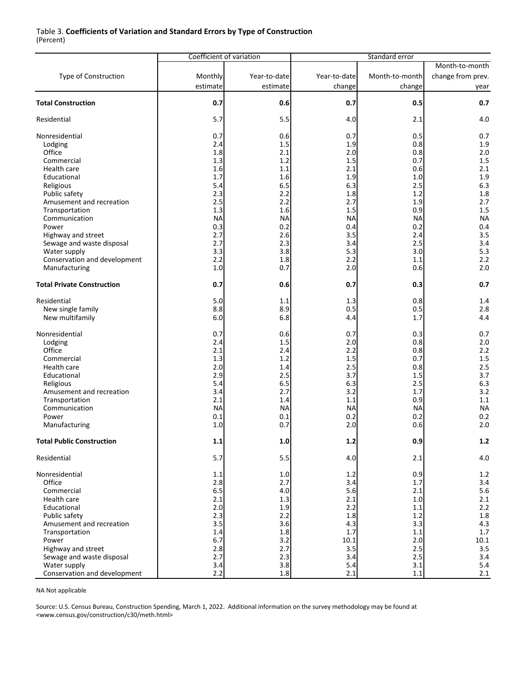#### Table 3. **Coefficients of Variation and Standard Errors by Type of Construction** (Percent)

|                                   | Coefficient of variation |              |              |                |                   |
|-----------------------------------|--------------------------|--------------|--------------|----------------|-------------------|
|                                   |                          |              |              |                | Month-to-month    |
| <b>Type of Construction</b>       | Monthly                  | Year-to-date | Year-to-date | Month-to-month | change from prev. |
|                                   |                          |              |              |                |                   |
|                                   | estimate                 | estimate     | change       | change         | year              |
| <b>Total Construction</b>         | 0.7                      | 0.6          | 0.7          | 0.5            | 0.7               |
|                                   |                          |              |              |                |                   |
| Residential                       | 5.7                      | 5.5          | 4.0          | 2.1            | 4.0               |
|                                   |                          |              |              |                |                   |
| Nonresidential                    | 0.7                      | 0.6          | 0.7          | 0.5            | 0.7               |
| Lodging                           | 2.4                      | 1.5          | 1.9          | 0.8            | 1.9               |
| Office                            | 1.8                      | 2.1          | 2.0          | 0.8            | 2.0               |
| Commercial                        | 1.3                      | 1.2          | 1.5          | 0.7            | 1.5               |
| Health care                       | 1.6                      | 1.1          | 2.1          | 0.6            | 2.1               |
| Educational                       | 1.7                      | 1.6          | 1.9          | 1.0            | 1.9               |
| Religious                         | 5.4                      | 6.5          | 6.3          | 2.5            | 6.3               |
|                                   | 2.3                      | 2.2          | 1.8          | 1.2            | 1.8               |
| Public safety                     |                          |              |              |                |                   |
| Amusement and recreation          | 2.5                      | 2.2          | 2.7          | 1.9            | 2.7               |
| Transportation                    | 1.3                      | 1.6          | 1.5          | 0.9            | 1.5               |
| Communication                     | <b>NA</b>                | <b>NA</b>    | <b>NA</b>    | <b>NA</b>      | <b>NA</b>         |
| Power                             | 0.3                      | 0.2          | 0.4          | 0.2            | 0.4               |
| Highway and street                | 2.7                      | 2.6          | 3.5          | 2.4            | 3.5               |
| Sewage and waste disposal         | 2.7                      | 2.3          | 3.4          | 2.5            | 3.4               |
| Water supply                      | 3.3                      | 3.8          | 5.3          | 3.0            | 5.3               |
| Conservation and development      | 2.2                      | 1.8          | 2.2          | 1.1            | 2.2               |
| Manufacturing                     | 1.0                      | 0.7          | 2.0          | 0.6            | 2.0               |
|                                   |                          |              |              |                |                   |
| <b>Total Private Construction</b> | 0.7                      | 0.6          | 0.7          | 0.3            | 0.7               |
| Residential                       | 5.0                      | 1.1          | 1.3          | 0.8            | 1.4               |
| New single family                 | 8.8                      | 8.9          | 0.5          | 0.5            | 2.8               |
| New multifamily                   | 6.0                      | 6.8          | 4.4          | 1.7            | 4.4               |
|                                   |                          |              |              |                |                   |
| Nonresidential                    | 0.7                      | 0.6          | 0.7          | 0.3            | 0.7               |
| Lodging                           | 2.4                      | 1.5          | 2.0          | 0.8            | 2.0               |
| Office                            | 2.1                      | 2.4          | 2.2          | 0.8            | 2.2               |
| Commercial                        | 1.3                      | 1.2          | 1.5          | 0.7            | 1.5               |
| Health care                       | 2.0                      | 1.4          | 2.5          | 0.8            | 2.5               |
|                                   |                          |              |              |                |                   |
| Educational                       | 2.9<br>5.4               | 2.5          | 3.7          | 1.5            | 3.7               |
| Religious                         |                          | 6.5          | 6.3          | 2.5            | 6.3               |
| Amusement and recreation          | 3.4                      | 2.7          | 3.2          | 1.7            | 3.2               |
| Transportation                    | 2.1                      | 1.4          | 1.1          | 0.9            | 1.1               |
| Communication                     | <b>NA</b>                | <b>NA</b>    | NА           | <b>NA</b>      | <b>NA</b>         |
| Power                             | 0.1                      | 0.1          | 0.2          | 0.2            | 0.2               |
| Manufacturing                     | 1.0                      | 0.7          | 2.0          | 0.6            | 2.0               |
| <b>Total Public Construction</b>  | 1.1                      | 1.0          | $1.2$        | 0.9            | $1.2$             |
|                                   |                          |              |              |                |                   |
| Residential                       | 5.7                      | 5.5          | 4.0          | 2.1            | $4.0\,$           |
| Nonresidential                    | 1.1                      | 1.0          | 1.2          | 0.9            | 1.2               |
| Office                            | 2.8                      | 2.7          | 3.4          | 1.7            | 3.4               |
| Commercial                        | 6.5                      | 4.0          | 5.6          | 2.1            | 5.6               |
| Health care                       | 2.1                      | 1.3          | 2.1          | 1.0            | 2.1               |
| Educational                       | 2.0                      | 1.9          | 2.2          | 1.1            | 2.2               |
|                                   | 2.3                      | 2.2          | 1.8          | 1.2            | 1.8               |
| Public safety                     |                          |              |              |                |                   |
| Amusement and recreation          | 3.5                      | 3.6          | 4.3          | 3.3            | 4.3               |
| Transportation                    | 1.4                      | 1.8          | 1.7          | 1.1            | 1.7               |
| Power                             | 6.7                      | 3.2          | 10.1         | 2.0            | 10.1              |
| Highway and street                | 2.8                      | 2.7          | 3.5          | 2.5            | 3.5               |
| Sewage and waste disposal         | 2.7                      | 2.3          | 3.4          | 2.5            | 3.4               |
| Water supply                      | 3.4                      | 3.8          | 5.4          | 3.1            | 5.4               |
| Conservation and development      | 2.2                      | $1.8\,$      | 2.1          | $1.1\,$        | 2.1               |

NA Not applicable

Source: U.S. Census Bureau, Construction Spending, March 1, 2022. Additional information on the survey methodology may be found at [<www.census.gov/construction/c30/meth.html>](http://www.census.gov/construction/c30/meth.html)